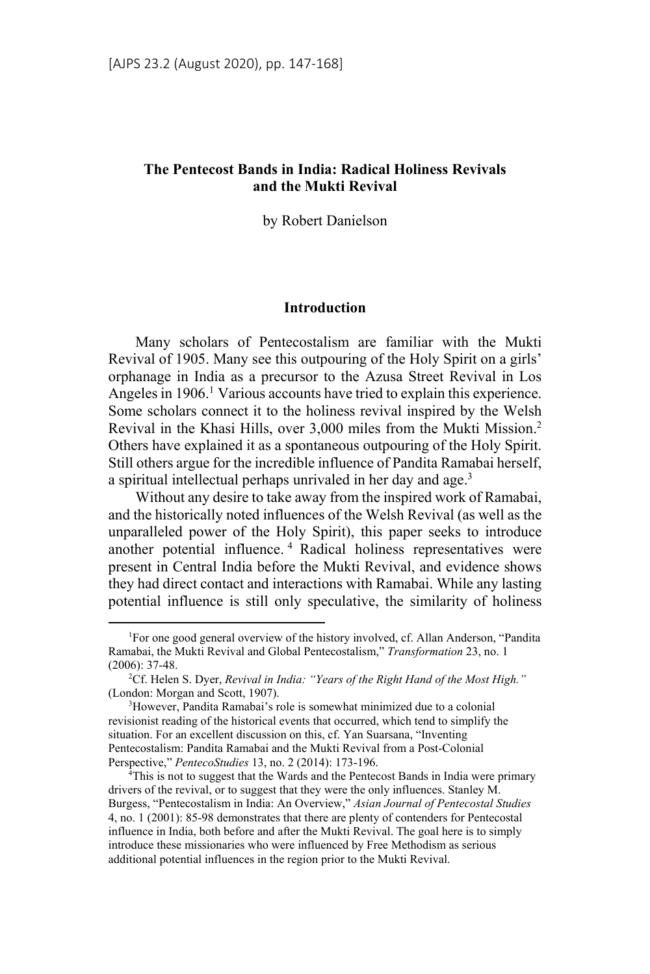# **The Pentecost Bands in India: Radical Holiness Revivals and the Mukti Revival**

by Robert Danielson

#### **Introduction**

Many scholars of Pentecostalism are familiar with the Mukti Revival of 1905. Many see this outpouring of the Holy Spirit on a girls' orphanage in India as a precursor to the Azusa Street Revival in Los Angeles in 1906.<sup>1</sup> Various accounts have tried to explain this experience. Some scholars connect it to the holiness revival inspired by the Welsh Revival in the Khasi Hills, over 3,000 miles from the Mukti Mission.2 Others have explained it as a spontaneous outpouring of the Holy Spirit. Still others argue for the incredible influence of Pandita Ramabai herself, a spiritual intellectual perhaps unrivaled in her day and age.<sup>3</sup>

Without any desire to take away from the inspired work of Ramabai, and the historically noted influences of the Welsh Revival (as well as the unparalleled power of the Holy Spirit), this paper seeks to introduce another potential influence. 4 Radical holiness representatives were present in Central India before the Mukti Revival, and evidence shows they had direct contact and interactions with Ramabai. While any lasting potential influence is still only speculative, the similarity of holiness

<sup>&</sup>lt;sup>1</sup>For one good general overview of the history involved, cf. Allan Anderson, "Pandita Ramabai, the Mukti Revival and Global Pentecostalism," *Transformation* 23, no. 1  $(2006): 37-48.$ 

<sup>&</sup>lt;sup>2</sup>Cf. Helen S. Dyer, *Revival in India: "Years of the Right Hand of the Most High."* (London: Morgan and Scott, 1907).

<sup>&</sup>lt;sup>3</sup>However, Pandita Ramabai's role is somewhat minimized due to a colonial revisionist reading of the historical events that occurred, which tend to simplify the situation. For an excellent discussion on this, cf. Yan Suarsana, "Inventing Pentecostalism: Pandita Ramabai and the Mukti Revival from a Post-Colonial Perspective," *PentecoStudies* 13, no. 2 (2014): 173-196. 4

<sup>&</sup>lt;sup>4</sup>This is not to suggest that the Wards and the Pentecost Bands in India were primary drivers of the revival, or to suggest that they were the only influences. Stanley M. Burgess, "Pentecostalism in India: An Overview," *Asian Journal of Pentecostal Studies* 4, no. 1 (2001): 85-98 demonstrates that there are plenty of contenders for Pentecostal influence in India, both before and after the Mukti Revival. The goal here is to simply introduce these missionaries who were influenced by Free Methodism as serious additional potential influences in the region prior to the Mukti Revival.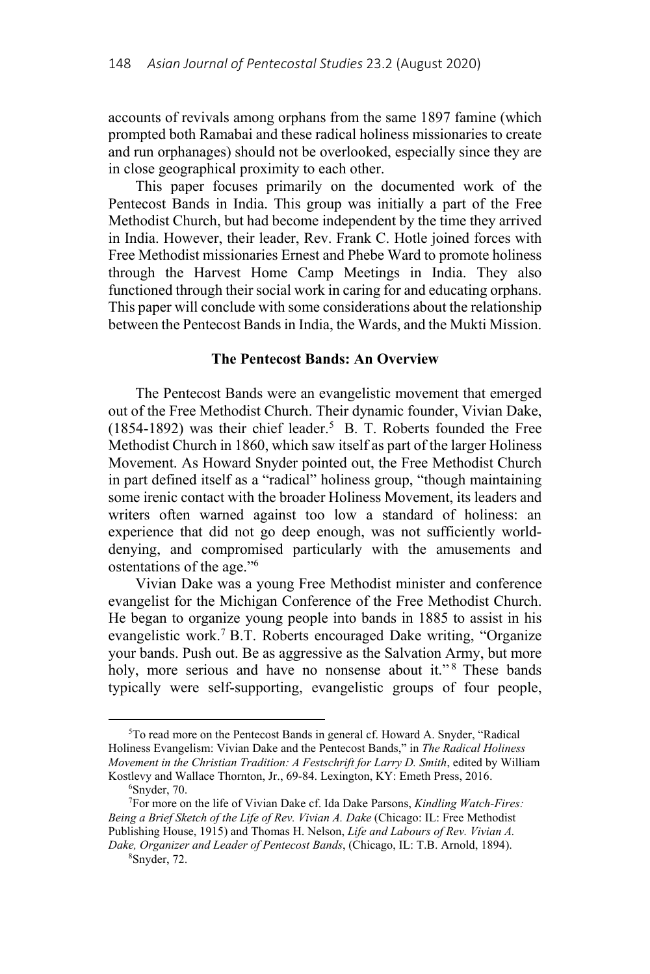accounts of revivals among orphans from the same 1897 famine (which prompted both Ramabai and these radical holiness missionaries to create and run orphanages) should not be overlooked, especially since they are in close geographical proximity to each other.

This paper focuses primarily on the documented work of the Pentecost Bands in India. This group was initially a part of the Free Methodist Church, but had become independent by the time they arrived in India. However, their leader, Rev. Frank C. Hotle joined forces with Free Methodist missionaries Ernest and Phebe Ward to promote holiness through the Harvest Home Camp Meetings in India. They also functioned through their social work in caring for and educating orphans. This paper will conclude with some considerations about the relationship between the Pentecost Bands in India, the Wards, and the Mukti Mission.

#### **The Pentecost Bands: An Overview**

The Pentecost Bands were an evangelistic movement that emerged out of the Free Methodist Church. Their dynamic founder, Vivian Dake,  $(1854-1892)$  was their chief leader.<sup>5</sup> B. T. Roberts founded the Free Methodist Church in 1860, which saw itself as part of the larger Holiness Movement. As Howard Snyder pointed out, the Free Methodist Church in part defined itself as a "radical" holiness group, "though maintaining some irenic contact with the broader Holiness Movement, its leaders and writers often warned against too low a standard of holiness: an experience that did not go deep enough, was not sufficiently worlddenying, and compromised particularly with the amusements and ostentations of the age."6

Vivian Dake was a young Free Methodist minister and conference evangelist for the Michigan Conference of the Free Methodist Church. He began to organize young people into bands in 1885 to assist in his evangelistic work.<sup>7</sup> B.T. Roberts encouraged Dake writing, "Organize your bands. Push out. Be as aggressive as the Salvation Army, but more holy, more serious and have no nonsense about it."<sup>8</sup> These bands typically were self-supporting, evangelistic groups of four people,

l

<sup>5</sup> To read more on the Pentecost Bands in general cf. Howard A. Snyder, "Radical Holiness Evangelism: Vivian Dake and the Pentecost Bands," in *The Radical Holiness Movement in the Christian Tradition: A Festschrift for Larry D. Smith*, edited by William Kostlevy and Wallace Thornton, Jr., 69-84. Lexington, KY: Emeth Press, 2016.

Snyder, 70.

<sup>7</sup> For more on the life of Vivian Dake cf. Ida Dake Parsons, *Kindling Watch-Fires: Being a Brief Sketch of the Life of Rev. Vivian A. Dake* (Chicago: IL: Free Methodist Publishing House, 1915) and Thomas H. Nelson, *Life and Labours of Rev. Vivian A. Dake, Organizer and Leader of Pentecost Bands*, (Chicago, IL: T.B. Arnold, 1894). 8

Snyder, 72.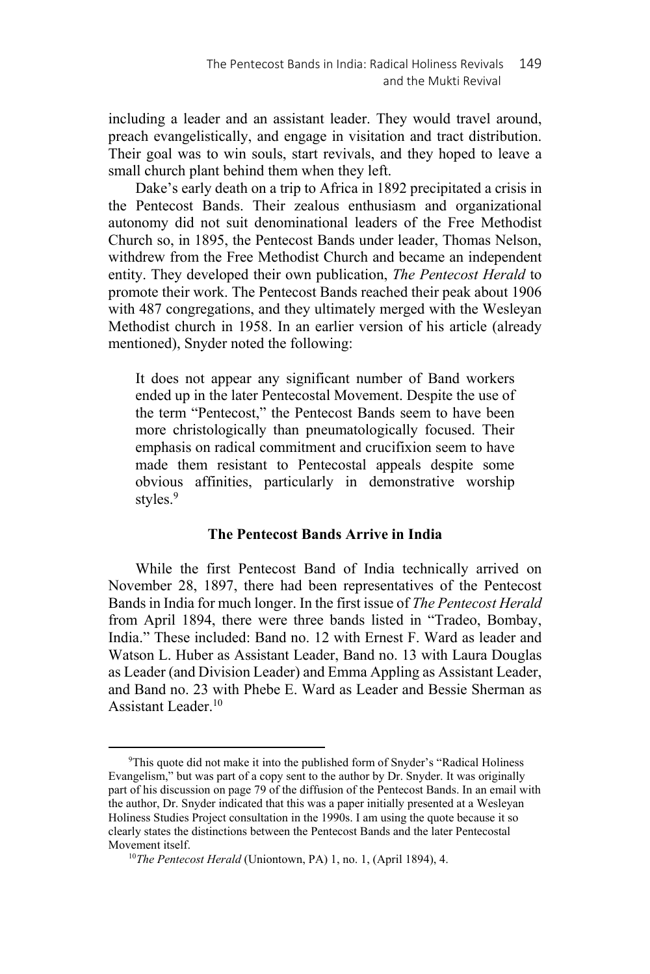including a leader and an assistant leader. They would travel around, preach evangelistically, and engage in visitation and tract distribution. Their goal was to win souls, start revivals, and they hoped to leave a small church plant behind them when they left.

Dake's early death on a trip to Africa in 1892 precipitated a crisis in the Pentecost Bands. Their zealous enthusiasm and organizational autonomy did not suit denominational leaders of the Free Methodist Church so, in 1895, the Pentecost Bands under leader, Thomas Nelson, withdrew from the Free Methodist Church and became an independent entity. They developed their own publication, *The Pentecost Herald* to promote their work. The Pentecost Bands reached their peak about 1906 with 487 congregations, and they ultimately merged with the Wesleyan Methodist church in 1958. In an earlier version of his article (already mentioned), Snyder noted the following:

It does not appear any significant number of Band workers ended up in the later Pentecostal Movement. Despite the use of the term "Pentecost," the Pentecost Bands seem to have been more christologically than pneumatologically focused. Their emphasis on radical commitment and crucifixion seem to have made them resistant to Pentecostal appeals despite some obvious affinities, particularly in demonstrative worship styles.<sup>9</sup>

## **The Pentecost Bands Arrive in India**

While the first Pentecost Band of India technically arrived on November 28, 1897, there had been representatives of the Pentecost Bands in India for much longer. In the first issue of *The Pentecost Herald* from April 1894, there were three bands listed in "Tradeo, Bombay, India." These included: Band no. 12 with Ernest F. Ward as leader and Watson L. Huber as Assistant Leader, Band no. 13 with Laura Douglas as Leader (and Division Leader) and Emma Appling as Assistant Leader, and Band no. 23 with Phebe E. Ward as Leader and Bessie Sherman as Assistant Leader $10$ 

<sup>&</sup>lt;sup>9</sup>This quote did not make it into the published form of Snyder's "Radical Holiness Evangelism," but was part of a copy sent to the author by Dr. Snyder. It was originally part of his discussion on page 79 of the diffusion of the Pentecost Bands. In an email with the author, Dr. Snyder indicated that this was a paper initially presented at a Wesleyan Holiness Studies Project consultation in the 1990s. I am using the quote because it so clearly states the distinctions between the Pentecost Bands and the later Pentecostal Movement itself. 10*The Pentecost Herald* (Uniontown, PA) 1, no. 1, (April 1894), 4.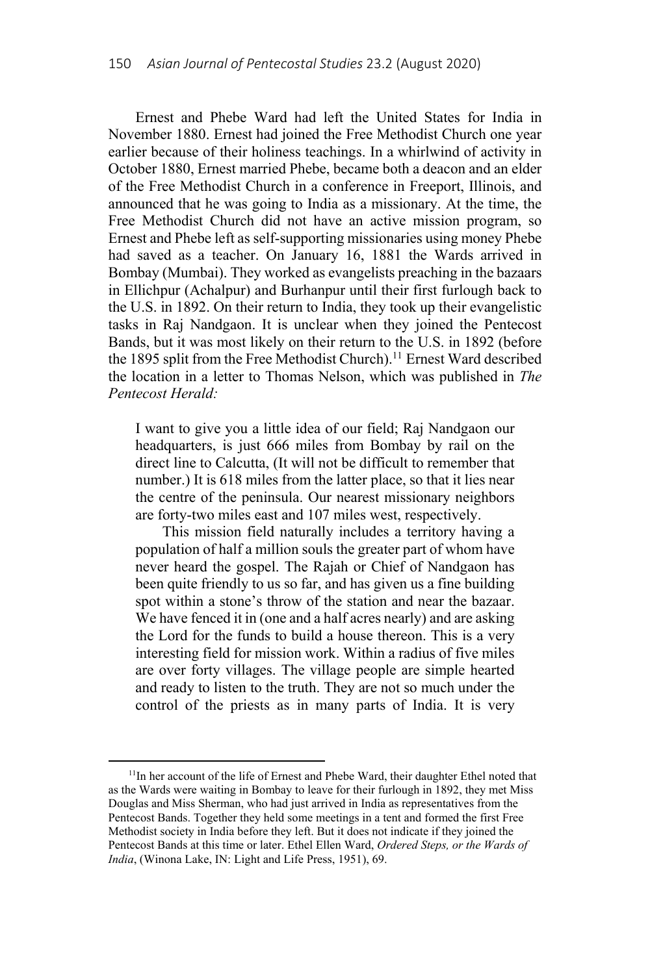Ernest and Phebe Ward had left the United States for India in November 1880. Ernest had joined the Free Methodist Church one year earlier because of their holiness teachings. In a whirlwind of activity in October 1880, Ernest married Phebe, became both a deacon and an elder of the Free Methodist Church in a conference in Freeport, Illinois, and announced that he was going to India as a missionary. At the time, the Free Methodist Church did not have an active mission program, so Ernest and Phebe left as self-supporting missionaries using money Phebe had saved as a teacher. On January 16, 1881 the Wards arrived in Bombay (Mumbai). They worked as evangelists preaching in the bazaars in Ellichpur (Achalpur) and Burhanpur until their first furlough back to the U.S. in 1892. On their return to India, they took up their evangelistic tasks in Raj Nandgaon. It is unclear when they joined the Pentecost Bands, but it was most likely on their return to the U.S. in 1892 (before the 1895 split from the Free Methodist Church).<sup>11</sup> Ernest Ward described the location in a letter to Thomas Nelson, which was published in *The Pentecost Herald:* 

I want to give you a little idea of our field; Raj Nandgaon our headquarters, is just 666 miles from Bombay by rail on the direct line to Calcutta, (It will not be difficult to remember that number.) It is 618 miles from the latter place, so that it lies near the centre of the peninsula. Our nearest missionary neighbors are forty-two miles east and 107 miles west, respectively.

This mission field naturally includes a territory having a population of half a million souls the greater part of whom have never heard the gospel. The Rajah or Chief of Nandgaon has been quite friendly to us so far, and has given us a fine building spot within a stone's throw of the station and near the bazaar. We have fenced it in (one and a half acres nearly) and are asking the Lord for the funds to build a house thereon. This is a very interesting field for mission work. Within a radius of five miles are over forty villages. The village people are simple hearted and ready to listen to the truth. They are not so much under the control of the priests as in many parts of India. It is very

<sup>&</sup>lt;sup>11</sup>In her account of the life of Ernest and Phebe Ward, their daughter Ethel noted that as the Wards were waiting in Bombay to leave for their furlough in 1892, they met Miss Douglas and Miss Sherman, who had just arrived in India as representatives from the Pentecost Bands. Together they held some meetings in a tent and formed the first Free Methodist society in India before they left. But it does not indicate if they joined the Pentecost Bands at this time or later. Ethel Ellen Ward, *Ordered Steps, or the Wards of India*, (Winona Lake, IN: Light and Life Press, 1951), 69.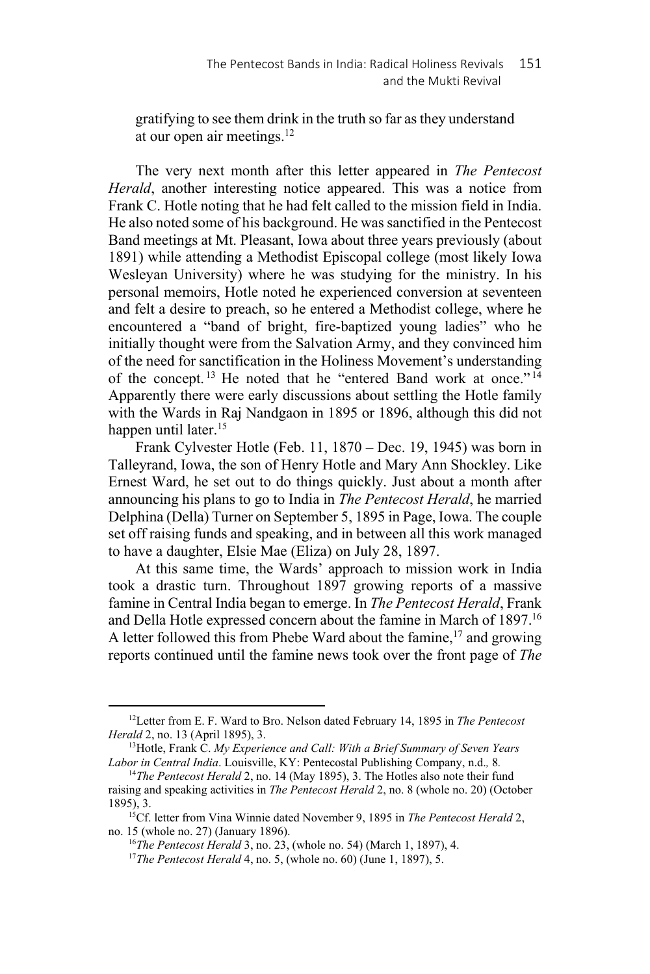gratifying to see them drink in the truth so far as they understand at our open air meetings. $12$ 

The very next month after this letter appeared in *The Pentecost Herald*, another interesting notice appeared. This was a notice from Frank C. Hotle noting that he had felt called to the mission field in India. He also noted some of his background. He was sanctified in the Pentecost Band meetings at Mt. Pleasant, Iowa about three years previously (about 1891) while attending a Methodist Episcopal college (most likely Iowa Wesleyan University) where he was studying for the ministry. In his personal memoirs, Hotle noted he experienced conversion at seventeen and felt a desire to preach, so he entered a Methodist college, where he encountered a "band of bright, fire-baptized young ladies" who he initially thought were from the Salvation Army, and they convinced him of the need for sanctification in the Holiness Movement's understanding of the concept. 13 He noted that he "entered Band work at once." <sup>14</sup> Apparently there were early discussions about settling the Hotle family with the Wards in Raj Nandgaon in 1895 or 1896, although this did not happen until later.<sup>15</sup>

Frank Cylvester Hotle (Feb. 11, 1870 – Dec. 19, 1945) was born in Talleyrand, Iowa, the son of Henry Hotle and Mary Ann Shockley. Like Ernest Ward, he set out to do things quickly. Just about a month after announcing his plans to go to India in *The Pentecost Herald*, he married Delphina (Della) Turner on September 5, 1895 in Page, Iowa. The couple set off raising funds and speaking, and in between all this work managed to have a daughter, Elsie Mae (Eliza) on July 28, 1897.

At this same time, the Wards' approach to mission work in India took a drastic turn. Throughout 1897 growing reports of a massive famine in Central India began to emerge. In *The Pentecost Herald*, Frank and Della Hotle expressed concern about the famine in March of 1897.16 A letter followed this from Phebe Ward about the famine,  $17$  and growing reports continued until the famine news took over the front page of *The* 

<sup>12</sup>Letter from E. F. Ward to Bro. Nelson dated February 14, 1895 in *The Pentecost Herald* 2, no. 13 (April 1895), 3.<br><sup>13</sup>Hotle, Frank C. *My Experience and Call: With a Brief Summary of Seven Years* 

*Labor in Central India*. Louisville, KY: Pentecostal Publishing Company, n.d.*,* 8*.* 

<sup>&</sup>lt;sup>14</sup>The Pentecost Herald 2, no. 14 (May 1895), 3. The Hotles also note their fund raising and speaking activities in *The Pentecost Herald* 2, no. 8 (whole no. 20) (October

<sup>&</sup>lt;sup>15</sup>Cf. letter from Vina Winnie dated November 9, 1895 in *The Pentecost Herald* 2, no. 15 (whole no. 27) (January 1896). 16*The Pentecost Herald* 3, no. 23, (whole no. 54) (March 1, 1897), 4. 17*The Pentecost Herald* 4, no. 5, (whole no. 60) (June 1, 1897), 5.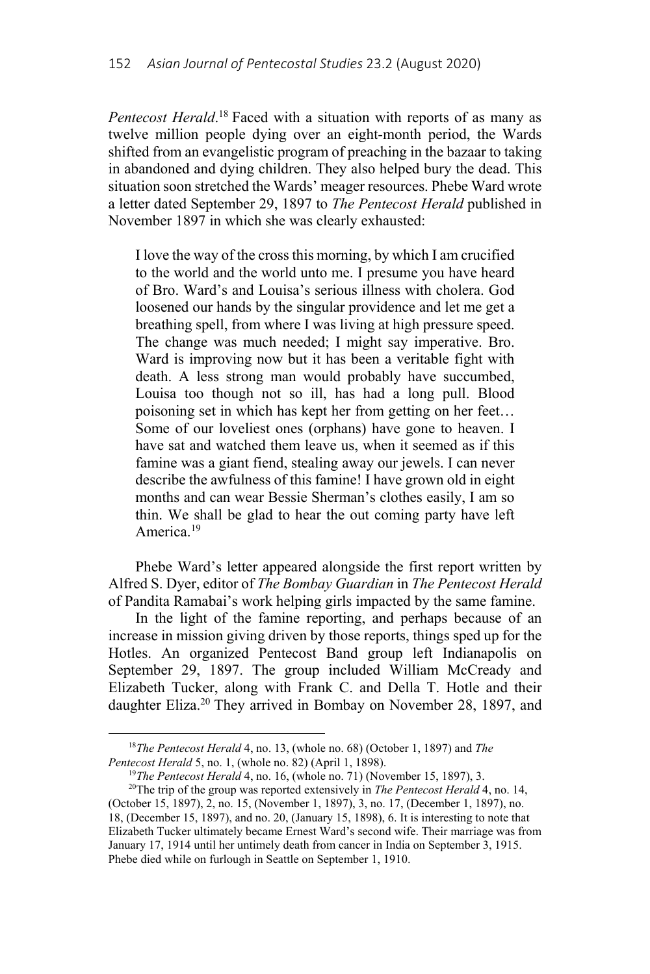*Pentecost Herald*. 18 Faced with a situation with reports of as many as twelve million people dying over an eight-month period, the Wards shifted from an evangelistic program of preaching in the bazaar to taking in abandoned and dying children. They also helped bury the dead. This situation soon stretched the Wards' meager resources. Phebe Ward wrote a letter dated September 29, 1897 to *The Pentecost Herald* published in November 1897 in which she was clearly exhausted:

I love the way of the cross this morning, by which I am crucified to the world and the world unto me. I presume you have heard of Bro. Ward's and Louisa's serious illness with cholera. God loosened our hands by the singular providence and let me get a breathing spell, from where I was living at high pressure speed. The change was much needed; I might say imperative. Bro. Ward is improving now but it has been a veritable fight with death. A less strong man would probably have succumbed, Louisa too though not so ill, has had a long pull. Blood poisoning set in which has kept her from getting on her feet… Some of our loveliest ones (orphans) have gone to heaven. I have sat and watched them leave us, when it seemed as if this famine was a giant fiend, stealing away our jewels. I can never describe the awfulness of this famine! I have grown old in eight months and can wear Bessie Sherman's clothes easily, I am so thin. We shall be glad to hear the out coming party have left America.19

Phebe Ward's letter appeared alongside the first report written by Alfred S. Dyer, editor of *The Bombay Guardian* in *The Pentecost Herald* of Pandita Ramabai's work helping girls impacted by the same famine.

In the light of the famine reporting, and perhaps because of an increase in mission giving driven by those reports, things sped up for the Hotles. An organized Pentecost Band group left Indianapolis on September 29, 1897. The group included William McCready and Elizabeth Tucker, along with Frank C. and Della T. Hotle and their daughter Eliza.<sup>20</sup> They arrived in Bombay on November 28, 1897, and

<sup>18</sup>*The Pentecost Herald* 4, no. 13, (whole no. 68) (October 1, 1897) and *The*  Pentecost Herald 5, no. 1, (whole no. 82) (April 1, 1898).<br><sup>19</sup>The Pentecost Herald 4, no. 16, (whole no. 71) (November 15, 1897), 3.<br><sup>20</sup>The trip of the group was reported extensively in *The Pentecost Herald* 4, no. 14,

<sup>(</sup>October 15, 1897), 2, no. 15, (November 1, 1897), 3, no. 17, (December 1, 1897), no. 18, (December 15, 1897), and no. 20, (January 15, 1898), 6. It is interesting to note that Elizabeth Tucker ultimately became Ernest Ward's second wife. Their marriage was from January 17, 1914 until her untimely death from cancer in India on September 3, 1915. Phebe died while on furlough in Seattle on September 1, 1910.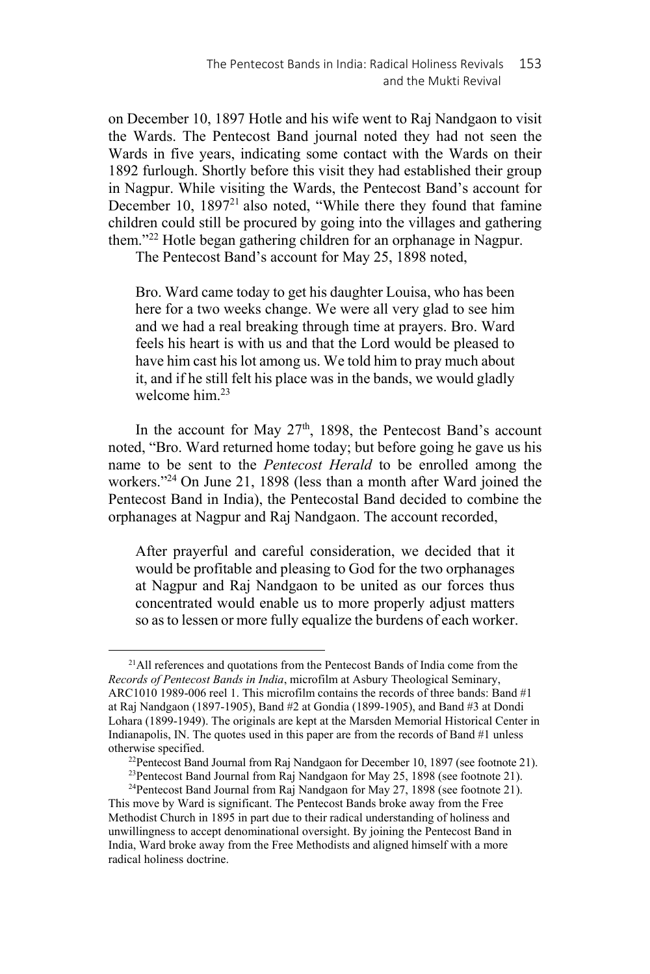on December 10, 1897 Hotle and his wife went to Raj Nandgaon to visit the Wards. The Pentecost Band journal noted they had not seen the Wards in five years, indicating some contact with the Wards on their 1892 furlough. Shortly before this visit they had established their group in Nagpur. While visiting the Wards, the Pentecost Band's account for December 10, 1897<sup>21</sup> also noted, "While there they found that famine children could still be procured by going into the villages and gathering them."22 Hotle began gathering children for an orphanage in Nagpur.

The Pentecost Band's account for May 25, 1898 noted,

Bro. Ward came today to get his daughter Louisa, who has been here for a two weeks change. We were all very glad to see him and we had a real breaking through time at prayers. Bro. Ward feels his heart is with us and that the Lord would be pleased to have him cast his lot among us. We told him to pray much about it, and if he still felt his place was in the bands, we would gladly welcome him $^{23}$ 

In the account for May 27<sup>th</sup>, 1898, the Pentecost Band's account noted, "Bro. Ward returned home today; but before going he gave us his name to be sent to the *Pentecost Herald* to be enrolled among the workers."24 On June 21, 1898 (less than a month after Ward joined the Pentecost Band in India), the Pentecostal Band decided to combine the orphanages at Nagpur and Raj Nandgaon. The account recorded,

After prayerful and careful consideration, we decided that it would be profitable and pleasing to God for the two orphanages at Nagpur and Raj Nandgaon to be united as our forces thus concentrated would enable us to more properly adjust matters so as to lessen or more fully equalize the burdens of each worker.

<sup>&</sup>lt;sup>21</sup>All references and quotations from the Pentecost Bands of India come from the *Records of Pentecost Bands in India*, microfilm at Asbury Theological Seminary, ARC1010 1989-006 reel 1. This microfilm contains the records of three bands: Band #1 at Raj Nandgaon (1897-1905), Band #2 at Gondia (1899-1905), and Band #3 at Dondi Lohara (1899-1949). The originals are kept at the Marsden Memorial Historical Center in Indianapolis, IN. The quotes used in this paper are from the records of Band #1 unless otherwise specified.<br><sup>22</sup>Pentecost Band Journal from Raj Nandgaon for December 10, 1897 (see footnote 21).<br><sup>23</sup>Pentecost Band Journal from Raj Nandgaon for May 25, 1898 (see footnote 21).

<sup>&</sup>lt;sup>24</sup>Pentecost Band Journal from Raj Nandgaon for May 27, 1898 (see footnote 21). This move by Ward is significant. The Pentecost Bands broke away from the Free Methodist Church in 1895 in part due to their radical understanding of holiness and unwillingness to accept denominational oversight. By joining the Pentecost Band in India, Ward broke away from the Free Methodists and aligned himself with a more radical holiness doctrine.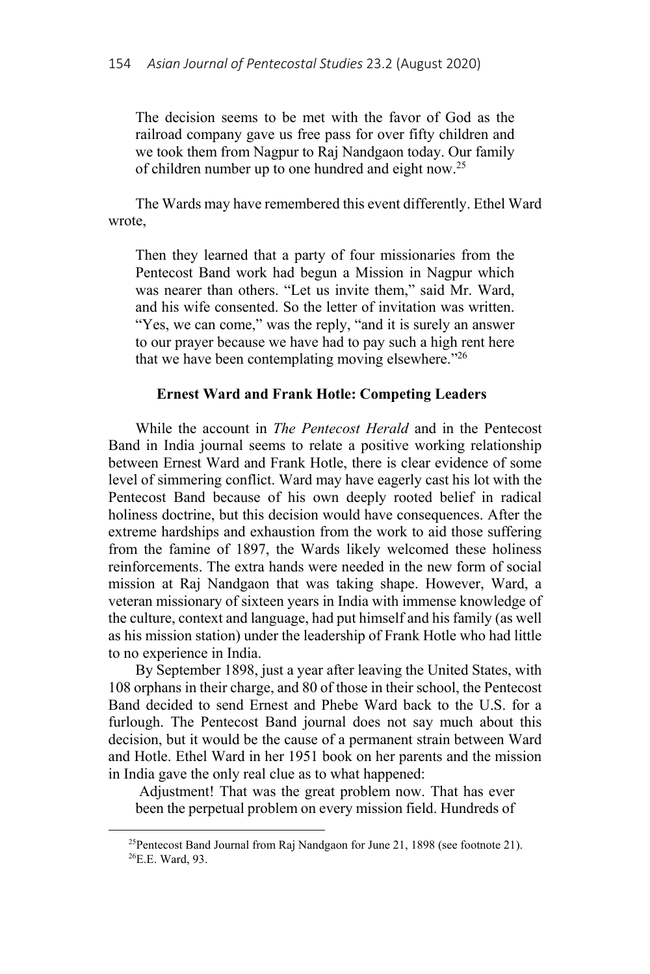The decision seems to be met with the favor of God as the railroad company gave us free pass for over fifty children and we took them from Nagpur to Raj Nandgaon today. Our family of children number up to one hundred and eight now.25

The Wards may have remembered this event differently. Ethel Ward wrote,

Then they learned that a party of four missionaries from the Pentecost Band work had begun a Mission in Nagpur which was nearer than others. "Let us invite them," said Mr. Ward, and his wife consented. So the letter of invitation was written. "Yes, we can come," was the reply, "and it is surely an answer to our prayer because we have had to pay such a high rent here that we have been contemplating moving elsewhere."26

## **Ernest Ward and Frank Hotle: Competing Leaders**

While the account in *The Pentecost Herald* and in the Pentecost Band in India journal seems to relate a positive working relationship between Ernest Ward and Frank Hotle, there is clear evidence of some level of simmering conflict. Ward may have eagerly cast his lot with the Pentecost Band because of his own deeply rooted belief in radical holiness doctrine, but this decision would have consequences. After the extreme hardships and exhaustion from the work to aid those suffering from the famine of 1897, the Wards likely welcomed these holiness reinforcements. The extra hands were needed in the new form of social mission at Raj Nandgaon that was taking shape. However, Ward, a veteran missionary of sixteen years in India with immense knowledge of the culture, context and language, had put himself and his family (as well as his mission station) under the leadership of Frank Hotle who had little to no experience in India.

By September 1898, just a year after leaving the United States, with 108 orphans in their charge, and 80 of those in their school, the Pentecost Band decided to send Ernest and Phebe Ward back to the U.S. for a furlough. The Pentecost Band journal does not say much about this decision, but it would be the cause of a permanent strain between Ward and Hotle. Ethel Ward in her 1951 book on her parents and the mission in India gave the only real clue as to what happened:

 Adjustment! That was the great problem now. That has ever been the perpetual problem on every mission field. Hundreds of

<sup>&</sup>lt;sup>25</sup>Pentecost Band Journal from Raj Nandgaon for June 21, 1898 (see footnote 21). 26E.E. Ward, 93.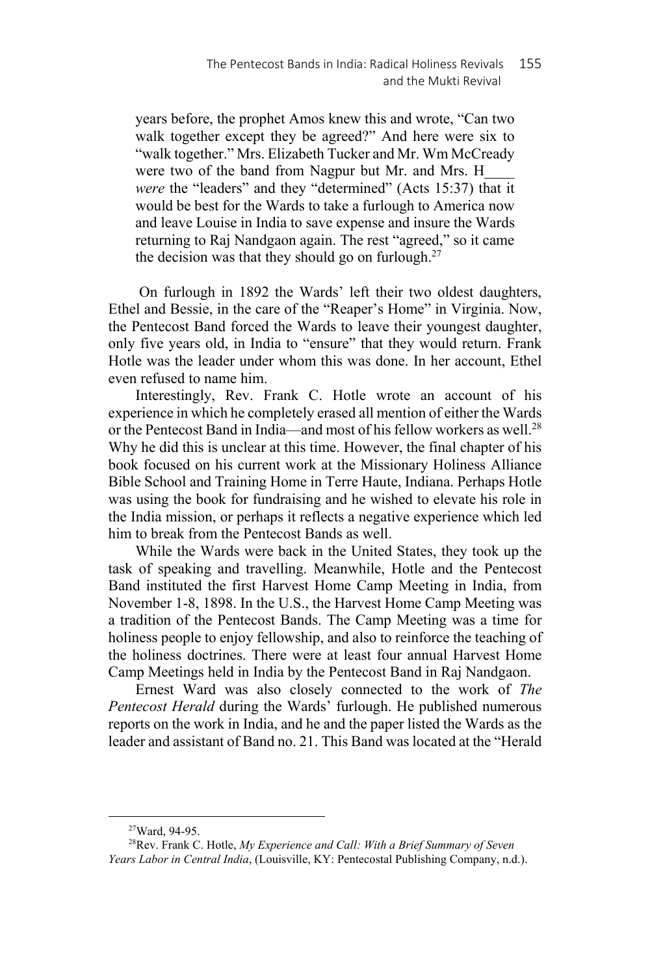years before, the prophet Amos knew this and wrote, "Can two walk together except they be agreed?" And here were six to "walk together." Mrs. Elizabeth Tucker and Mr. Wm McCready were two of the band from Nagpur but Mr. and Mrs. H *were* the "leaders" and they "determined" (Acts 15:37) that it would be best for the Wards to take a furlough to America now and leave Louise in India to save expense and insure the Wards returning to Raj Nandgaon again. The rest "agreed," so it came the decision was that they should go on furlough. $27$ 

 On furlough in 1892 the Wards' left their two oldest daughters, Ethel and Bessie, in the care of the "Reaper's Home" in Virginia. Now, the Pentecost Band forced the Wards to leave their youngest daughter, only five years old, in India to "ensure" that they would return. Frank Hotle was the leader under whom this was done. In her account, Ethel even refused to name him.

Interestingly, Rev. Frank C. Hotle wrote an account of his experience in which he completely erased all mention of either the Wards or the Pentecost Band in India—and most of his fellow workers as well.28 Why he did this is unclear at this time. However, the final chapter of his book focused on his current work at the Missionary Holiness Alliance Bible School and Training Home in Terre Haute, Indiana. Perhaps Hotle was using the book for fundraising and he wished to elevate his role in the India mission, or perhaps it reflects a negative experience which led him to break from the Pentecost Bands as well.

While the Wards were back in the United States, they took up the task of speaking and travelling. Meanwhile, Hotle and the Pentecost Band instituted the first Harvest Home Camp Meeting in India, from November 1-8, 1898. In the U.S., the Harvest Home Camp Meeting was a tradition of the Pentecost Bands. The Camp Meeting was a time for holiness people to enjoy fellowship, and also to reinforce the teaching of the holiness doctrines. There were at least four annual Harvest Home Camp Meetings held in India by the Pentecost Band in Raj Nandgaon.

Ernest Ward was also closely connected to the work of *The Pentecost Herald* during the Wards' furlough. He published numerous reports on the work in India, and he and the paper listed the Wards as the leader and assistant of Band no. 21. This Band was located at the "Herald

<sup>27</sup>Ward, 94-95.

<sup>28</sup>Rev. Frank C. Hotle, *My Experience and Call: With a Brief Summary of Seven Years Labor in Central India*, (Louisville, KY: Pentecostal Publishing Company, n.d.).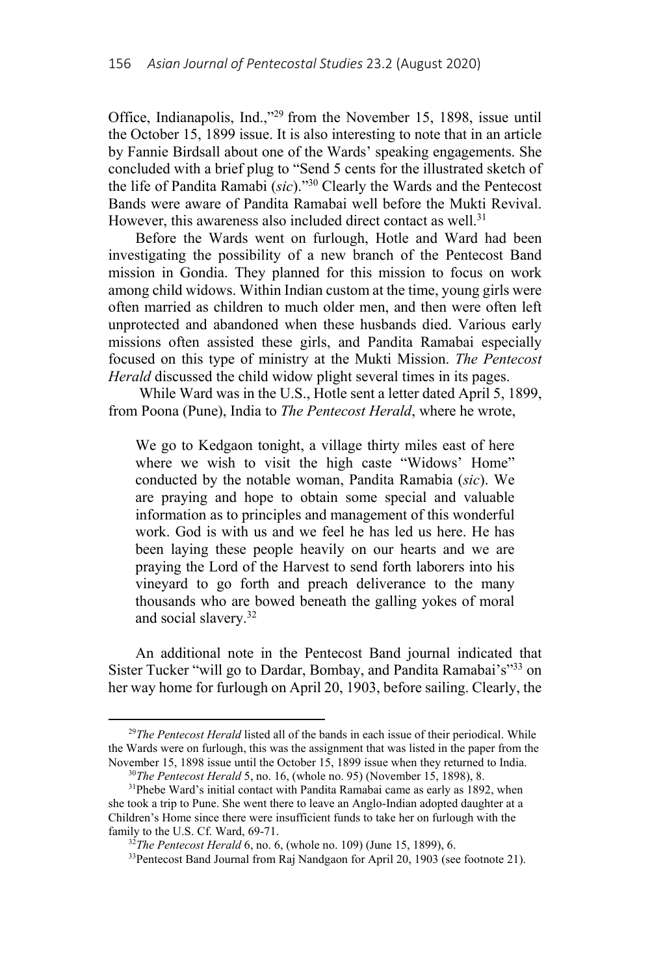Office, Indianapolis, Ind.,"29 from the November 15, 1898, issue until the October 15, 1899 issue. It is also interesting to note that in an article by Fannie Birdsall about one of the Wards' speaking engagements. She concluded with a brief plug to "Send 5 cents for the illustrated sketch of the life of Pandita Ramabi (*sic*)."30 Clearly the Wards and the Pentecost Bands were aware of Pandita Ramabai well before the Mukti Revival. However, this awareness also included direct contact as well.<sup>31</sup>

Before the Wards went on furlough, Hotle and Ward had been investigating the possibility of a new branch of the Pentecost Band mission in Gondia. They planned for this mission to focus on work among child widows. Within Indian custom at the time, young girls were often married as children to much older men, and then were often left unprotected and abandoned when these husbands died. Various early missions often assisted these girls, and Pandita Ramabai especially focused on this type of ministry at the Mukti Mission. *The Pentecost Herald* discussed the child widow plight several times in its pages.

 While Ward was in the U.S., Hotle sent a letter dated April 5, 1899, from Poona (Pune), India to *The Pentecost Herald*, where he wrote,

We go to Kedgaon tonight, a village thirty miles east of here where we wish to visit the high caste "Widows' Home" conducted by the notable woman, Pandita Ramabia (*sic*). We are praying and hope to obtain some special and valuable information as to principles and management of this wonderful work. God is with us and we feel he has led us here. He has been laying these people heavily on our hearts and we are praying the Lord of the Harvest to send forth laborers into his vineyard to go forth and preach deliverance to the many thousands who are bowed beneath the galling yokes of moral and social slavery.32

An additional note in the Pentecost Band journal indicated that Sister Tucker "will go to Dardar, Bombay, and Pandita Ramabai's"<sup>33</sup> on her way home for furlough on April 20, 1903, before sailing. Clearly, the

l

<sup>&</sup>lt;sup>29</sup>*The Pentecost Herald* listed all of the bands in each issue of their periodical. While the Wards were on furlough, this was the assignment that was listed in the paper from the November 15, 1898 issue until the October 15, 1899 issue when they returned to India.<br><sup>30</sup>*The Pentecost Herald* 5, no. 16, (whole no. 95) (November 15, 1898), 8.<br><sup>31</sup>Phebe Ward's initial contact with Pandita Ramabai came

she took a trip to Pune. She went there to leave an Anglo-Indian adopted daughter at a Children's Home since there were insufficient funds to take her on furlough with the family to the U.S. Cf. Ward, 69-71.<br><sup>32</sup>*The Pentecost Herald* 6, no. 6, (whole no. 109) (June 15, 1899), 6.<br><sup>33</sup>Pentecost Band Journal from Raj Nandgaon for April 20, 1903 (see footnote 21).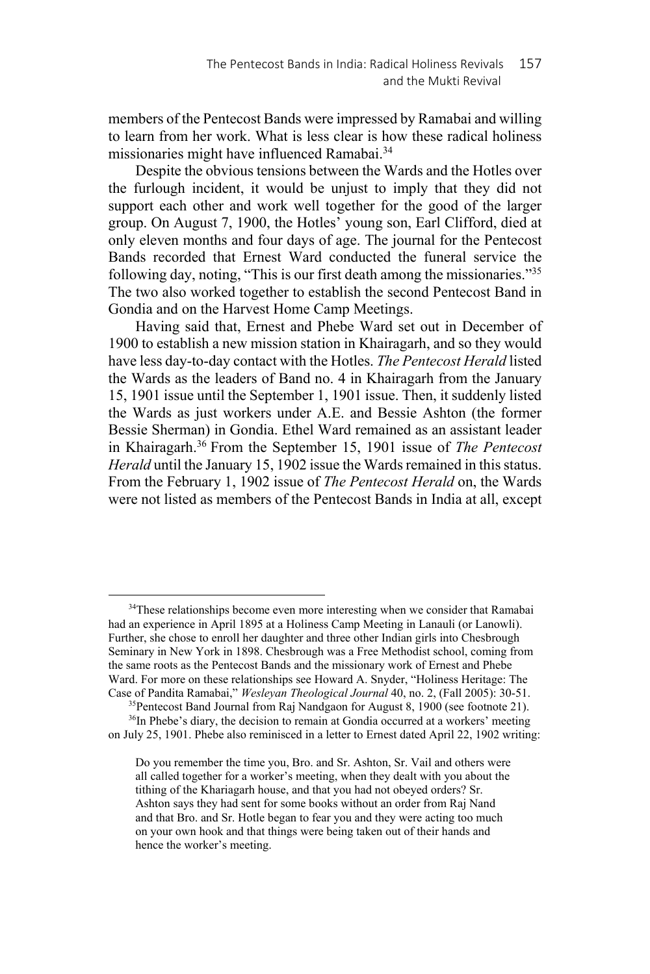members of the Pentecost Bands were impressed by Ramabai and willing to learn from her work. What is less clear is how these radical holiness missionaries might have influenced Ramabai.34

Despite the obvious tensions between the Wards and the Hotles over the furlough incident, it would be unjust to imply that they did not support each other and work well together for the good of the larger group. On August 7, 1900, the Hotles' young son, Earl Clifford, died at only eleven months and four days of age. The journal for the Pentecost Bands recorded that Ernest Ward conducted the funeral service the following day, noting, "This is our first death among the missionaries."35 The two also worked together to establish the second Pentecost Band in Gondia and on the Harvest Home Camp Meetings.

Having said that, Ernest and Phebe Ward set out in December of 1900 to establish a new mission station in Khairagarh, and so they would have less day-to-day contact with the Hotles. *The Pentecost Herald* listed the Wards as the leaders of Band no. 4 in Khairagarh from the January 15, 1901 issue until the September 1, 1901 issue. Then, it suddenly listed the Wards as just workers under A.E. and Bessie Ashton (the former Bessie Sherman) in Gondia. Ethel Ward remained as an assistant leader in Khairagarh.36 From the September 15, 1901 issue of *The Pentecost Herald* until the January 15, 1902 issue the Wards remained in this status. From the February 1, 1902 issue of *The Pentecost Herald* on, the Wards were not listed as members of the Pentecost Bands in India at all, except

<sup>&</sup>lt;sup>34</sup>These relationships become even more interesting when we consider that Ramabai had an experience in April 1895 at a Holiness Camp Meeting in Lanauli (or Lanowli). Further, she chose to enroll her daughter and three other Indian girls into Chesbrough Seminary in New York in 1898. Chesbrough was a Free Methodist school, coming from the same roots as the Pentecost Bands and the missionary work of Ernest and Phebe Ward. For more on these relationships see Howard A. Snyder, "Holiness Heritage: The Case of Pandita Ramabai," *Weslevan Theological Journal* 40, no. 2, (Fall 2005): 30-51.

<sup>&</sup>lt;sup>35</sup>Pentecost Band Journal from Raj Nandgaon for August 8, 1900 (see footnote 21). <sup>36</sup>In Phebe's diary, the decision to remain at Gondia occurred at a workers' meeting on July 25, 1901. Phebe also reminisced in a letter to Ernest dated April 22, 1902 writing:

Do you remember the time you, Bro. and Sr. Ashton, Sr. Vail and others were all called together for a worker's meeting, when they dealt with you about the tithing of the Khariagarh house, and that you had not obeyed orders? Sr. Ashton says they had sent for some books without an order from Raj Nand and that Bro. and Sr. Hotle began to fear you and they were acting too much on your own hook and that things were being taken out of their hands and hence the worker's meeting.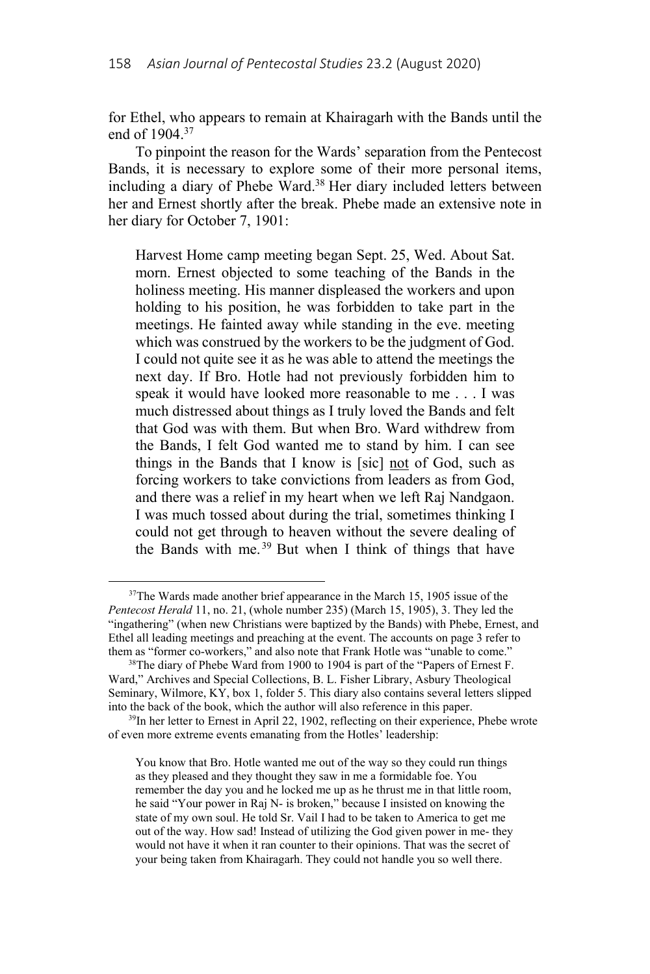for Ethel, who appears to remain at Khairagarh with the Bands until the end of 1904.37

To pinpoint the reason for the Wards' separation from the Pentecost Bands, it is necessary to explore some of their more personal items, including a diary of Phebe Ward.<sup>38</sup> Her diary included letters between her and Ernest shortly after the break. Phebe made an extensive note in her diary for October 7, 1901:

Harvest Home camp meeting began Sept. 25, Wed. About Sat. morn. Ernest objected to some teaching of the Bands in the holiness meeting. His manner displeased the workers and upon holding to his position, he was forbidden to take part in the meetings. He fainted away while standing in the eve. meeting which was construed by the workers to be the judgment of God. I could not quite see it as he was able to attend the meetings the next day. If Bro. Hotle had not previously forbidden him to speak it would have looked more reasonable to me . . . I was much distressed about things as I truly loved the Bands and felt that God was with them. But when Bro. Ward withdrew from the Bands, I felt God wanted me to stand by him. I can see things in the Bands that I know is [sic] not of God, such as forcing workers to take convictions from leaders as from God, and there was a relief in my heart when we left Raj Nandgaon. I was much tossed about during the trial, sometimes thinking I could not get through to heaven without the severe dealing of the Bands with me.<sup>39</sup> But when I think of things that have

 $37$ The Wards made another brief appearance in the March 15, 1905 issue of the *Pentecost Herald* 11, no. 21, (whole number 235) (March 15, 1905), 3. They led the "ingathering" (when new Christians were baptized by the Bands) with Phebe, Ernest, and Ethel all leading meetings and preaching at the event. The accounts on page 3 refer to them as "former co-workers," and also note that Frank Hotle was "unable to come." 38The diary of Phebe Ward from 1900 to 1904 is part of the "Papers of Ernest F.

Ward," Archives and Special Collections, B. L. Fisher Library, Asbury Theological Seminary, Wilmore, KY, box 1, folder 5. This diary also contains several letters slipped into the back of the book, which the author will also reference in this paper.<br><sup>39</sup>In her letter to Ernest in April 22, 1902, reflecting on their experience, Phebe wrote

of even more extreme events emanating from the Hotles' leadership:

You know that Bro. Hotle wanted me out of the way so they could run things as they pleased and they thought they saw in me a formidable foe. You remember the day you and he locked me up as he thrust me in that little room, he said "Your power in Raj N- is broken," because I insisted on knowing the state of my own soul. He told Sr. Vail I had to be taken to America to get me out of the way. How sad! Instead of utilizing the God given power in me- they would not have it when it ran counter to their opinions. That was the secret of your being taken from Khairagarh. They could not handle you so well there.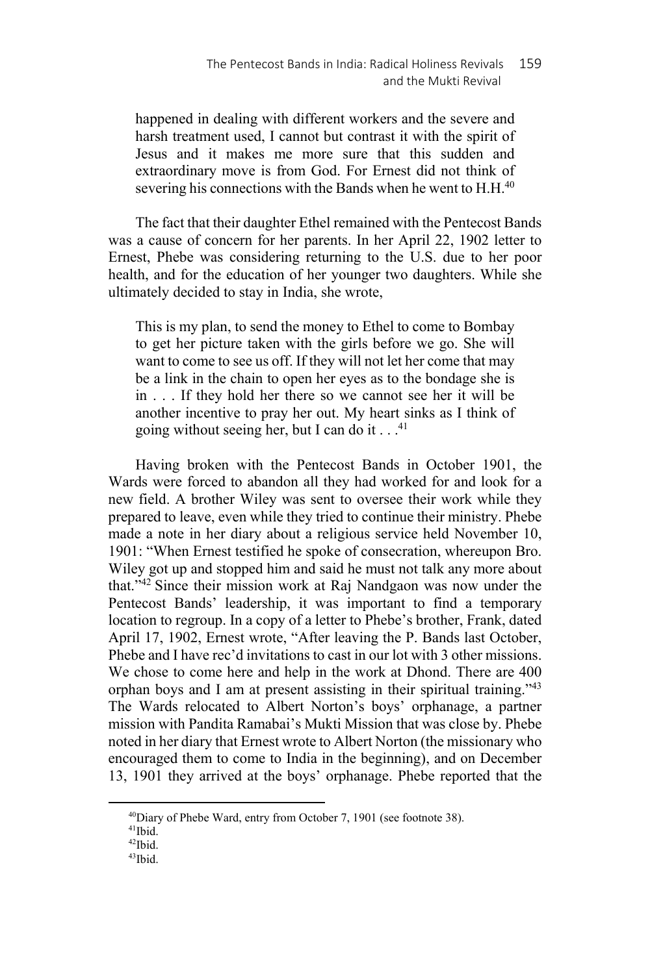happened in dealing with different workers and the severe and harsh treatment used, I cannot but contrast it with the spirit of Jesus and it makes me more sure that this sudden and extraordinary move is from God. For Ernest did not think of severing his connections with the Bands when he went to  $H.H.<sup>40</sup>$ 

The fact that their daughter Ethel remained with the Pentecost Bands was a cause of concern for her parents. In her April 22, 1902 letter to Ernest, Phebe was considering returning to the U.S. due to her poor health, and for the education of her younger two daughters. While she ultimately decided to stay in India, she wrote,

This is my plan, to send the money to Ethel to come to Bombay to get her picture taken with the girls before we go. She will want to come to see us off. If they will not let her come that may be a link in the chain to open her eyes as to the bondage she is in . . . If they hold her there so we cannot see her it will be another incentive to pray her out. My heart sinks as I think of going without seeing her, but I can do it  $\dots$ <sup>41</sup>

Having broken with the Pentecost Bands in October 1901, the Wards were forced to abandon all they had worked for and look for a new field. A brother Wiley was sent to oversee their work while they prepared to leave, even while they tried to continue their ministry. Phebe made a note in her diary about a religious service held November 10, 1901: "When Ernest testified he spoke of consecration, whereupon Bro. Wiley got up and stopped him and said he must not talk any more about that."42 Since their mission work at Raj Nandgaon was now under the Pentecost Bands' leadership, it was important to find a temporary location to regroup. In a copy of a letter to Phebe's brother, Frank, dated April 17, 1902, Ernest wrote, "After leaving the P. Bands last October, Phebe and I have rec'd invitations to cast in our lot with 3 other missions. We chose to come here and help in the work at Dhond. There are 400 orphan boys and I am at present assisting in their spiritual training."43 The Wards relocated to Albert Norton's boys' orphanage, a partner mission with Pandita Ramabai's Mukti Mission that was close by. Phebe noted in her diary that Ernest wrote to Albert Norton (the missionary who encouraged them to come to India in the beginning), and on December 13, 1901 they arrived at the boys' orphanage. Phebe reported that the

 $^{40}$ Diary of Phebe Ward, entry from October 7, 1901 (see footnote 38).  $^{41}$ Ibid.

<sup>42</sup>Ibid.

<sup>43</sup>Ibid.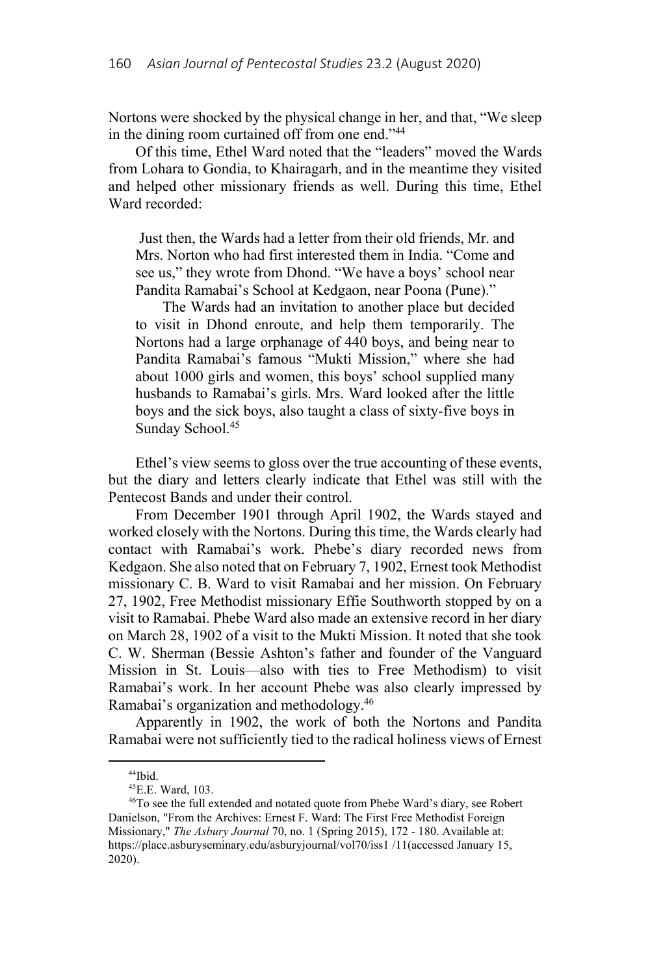Nortons were shocked by the physical change in her, and that, "We sleep in the dining room curtained off from one end."44

Of this time, Ethel Ward noted that the "leaders" moved the Wards from Lohara to Gondia, to Khairagarh, and in the meantime they visited and helped other missionary friends as well. During this time, Ethel Ward recorded:

 Just then, the Wards had a letter from their old friends, Mr. and Mrs. Norton who had first interested them in India. "Come and see us," they wrote from Dhond. "We have a boys' school near Pandita Ramabai's School at Kedgaon, near Poona (Pune)."

The Wards had an invitation to another place but decided to visit in Dhond enroute, and help them temporarily. The Nortons had a large orphanage of 440 boys, and being near to Pandita Ramabai's famous "Mukti Mission," where she had about 1000 girls and women, this boys' school supplied many husbands to Ramabai's girls. Mrs. Ward looked after the little boys and the sick boys, also taught a class of sixty-five boys in Sunday School.<sup>45</sup>

Ethel's view seems to gloss over the true accounting of these events, but the diary and letters clearly indicate that Ethel was still with the Pentecost Bands and under their control.

From December 1901 through April 1902, the Wards stayed and worked closely with the Nortons. During this time, the Wards clearly had contact with Ramabai's work. Phebe's diary recorded news from Kedgaon. She also noted that on February 7, 1902, Ernest took Methodist missionary C. B. Ward to visit Ramabai and her mission. On February 27, 1902, Free Methodist missionary Effie Southworth stopped by on a visit to Ramabai. Phebe Ward also made an extensive record in her diary on March 28, 1902 of a visit to the Mukti Mission. It noted that she took C. W. Sherman (Bessie Ashton's father and founder of the Vanguard Mission in St. Louis—also with ties to Free Methodism) to visit Ramabai's work. In her account Phebe was also clearly impressed by Ramabai's organization and methodology.46

Apparently in 1902, the work of both the Nortons and Pandita Ramabai were not sufficiently tied to the radical holiness views of Ernest

<sup>44</sup>Ibid.

<sup>45</sup>E.E. Ward, 103.

<sup>46</sup>To see the full extended and notated quote from Phebe Ward's diary, see Robert Danielson, "From the Archives: Ernest F. Ward: The First Free Methodist Foreign Missionary," *The Asbury Journal* 70, no. 1 (Spring 2015), 172 - 180. Available at: https://place.asburyseminary.edu/asburyjournal/vol70/iss1/11(accessed January 15, 2020).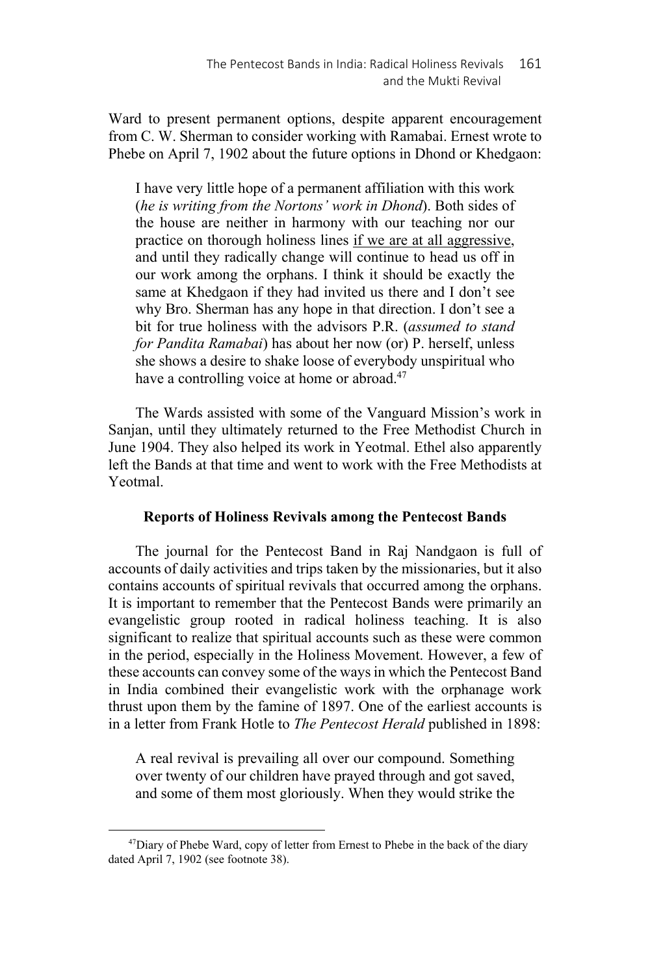Ward to present permanent options, despite apparent encouragement from C. W. Sherman to consider working with Ramabai. Ernest wrote to Phebe on April 7, 1902 about the future options in Dhond or Khedgaon:

I have very little hope of a permanent affiliation with this work (*he is writing from the Nortons' work in Dhond*). Both sides of the house are neither in harmony with our teaching nor our practice on thorough holiness lines if we are at all aggressive, and until they radically change will continue to head us off in our work among the orphans. I think it should be exactly the same at Khedgaon if they had invited us there and I don't see why Bro. Sherman has any hope in that direction. I don't see a bit for true holiness with the advisors P.R. (*assumed to stand for Pandita Ramabai*) has about her now (or) P. herself, unless she shows a desire to shake loose of everybody unspiritual who have a controlling voice at home or abroad.<sup>47</sup>

The Wards assisted with some of the Vanguard Mission's work in Sanjan, until they ultimately returned to the Free Methodist Church in June 1904. They also helped its work in Yeotmal. Ethel also apparently left the Bands at that time and went to work with the Free Methodists at Yeotmal.

# **Reports of Holiness Revivals among the Pentecost Bands**

The journal for the Pentecost Band in Raj Nandgaon is full of accounts of daily activities and trips taken by the missionaries, but it also contains accounts of spiritual revivals that occurred among the orphans. It is important to remember that the Pentecost Bands were primarily an evangelistic group rooted in radical holiness teaching. It is also significant to realize that spiritual accounts such as these were common in the period, especially in the Holiness Movement. However, a few of these accounts can convey some of the ways in which the Pentecost Band in India combined their evangelistic work with the orphanage work thrust upon them by the famine of 1897. One of the earliest accounts is in a letter from Frank Hotle to *The Pentecost Herald* published in 1898:

A real revival is prevailing all over our compound. Something over twenty of our children have prayed through and got saved, and some of them most gloriously. When they would strike the

 $47$ Diary of Phebe Ward, copy of letter from Ernest to Phebe in the back of the diary dated April 7, 1902 (see footnote 38).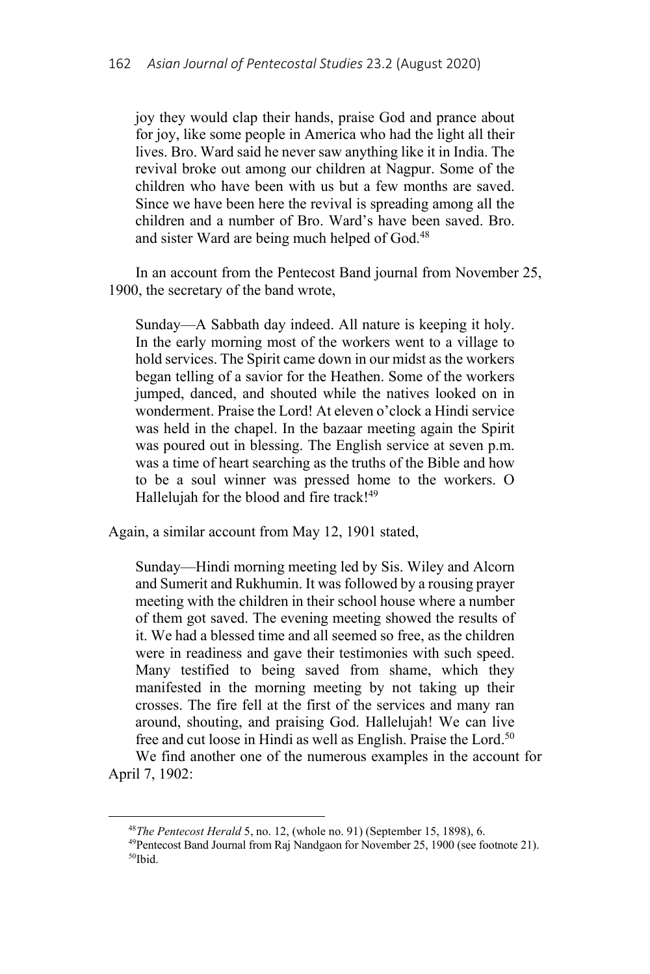joy they would clap their hands, praise God and prance about for joy, like some people in America who had the light all their lives. Bro. Ward said he never saw anything like it in India. The revival broke out among our children at Nagpur. Some of the children who have been with us but a few months are saved. Since we have been here the revival is spreading among all the children and a number of Bro. Ward's have been saved. Bro. and sister Ward are being much helped of God.<sup>48</sup>

In an account from the Pentecost Band journal from November 25, 1900, the secretary of the band wrote,

Sunday—A Sabbath day indeed. All nature is keeping it holy. In the early morning most of the workers went to a village to hold services. The Spirit came down in our midst as the workers began telling of a savior for the Heathen. Some of the workers jumped, danced, and shouted while the natives looked on in wonderment. Praise the Lord! At eleven o'clock a Hindi service was held in the chapel. In the bazaar meeting again the Spirit was poured out in blessing. The English service at seven p.m. was a time of heart searching as the truths of the Bible and how to be a soul winner was pressed home to the workers. O Hallelujah for the blood and fire track!<sup>49</sup>

Again, a similar account from May 12, 1901 stated,

Sunday—Hindi morning meeting led by Sis. Wiley and Alcorn and Sumerit and Rukhumin. It was followed by a rousing prayer meeting with the children in their school house where a number of them got saved. The evening meeting showed the results of it. We had a blessed time and all seemed so free, as the children were in readiness and gave their testimonies with such speed. Many testified to being saved from shame, which they manifested in the morning meeting by not taking up their crosses. The fire fell at the first of the services and many ran around, shouting, and praising God. Hallelujah! We can live free and cut loose in Hindi as well as English. Praise the Lord.<sup>50</sup>

We find another one of the numerous examples in the account for April 7, 1902:

<sup>&</sup>lt;sup>48</sup>*The Pentecost Herald* 5, no. 12, (whole no. 91) (September 15, 1898), 6.<br><sup>49</sup>Pentecost Band Journal from Raj Nandgaon for November 25, 1900 (see footnote 21). 50Ibid.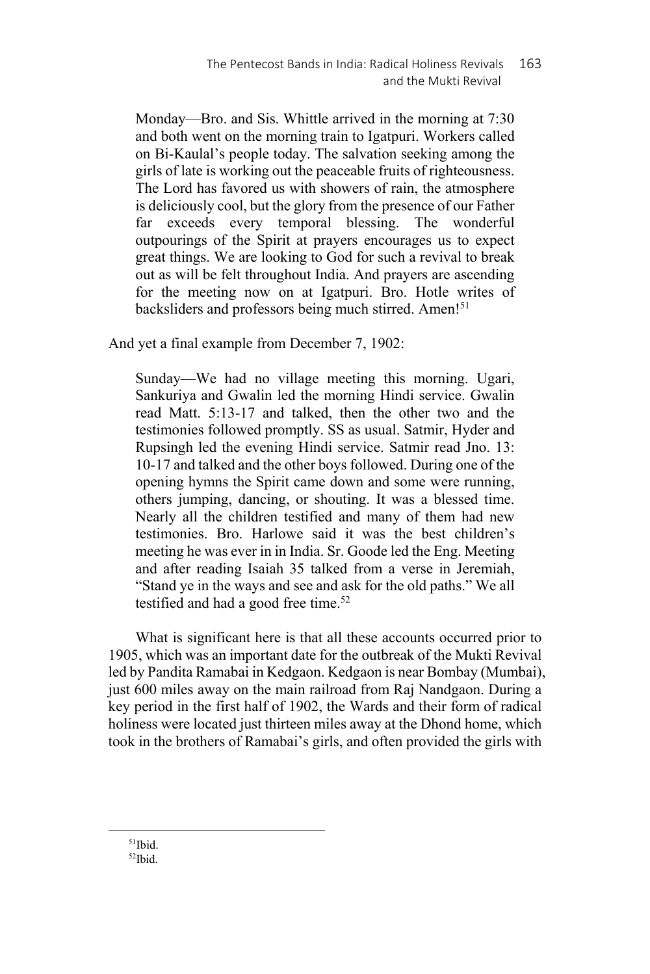Monday—Bro. and Sis. Whittle arrived in the morning at 7:30 and both went on the morning train to Igatpuri. Workers called on Bi-Kaulal's people today. The salvation seeking among the girls of late is working out the peaceable fruits of righteousness. The Lord has favored us with showers of rain, the atmosphere is deliciously cool, but the glory from the presence of our Father far exceeds every temporal blessing. The wonderful outpourings of the Spirit at prayers encourages us to expect great things. We are looking to God for such a revival to break out as will be felt throughout India. And prayers are ascending for the meeting now on at Igatpuri. Bro. Hotle writes of backsliders and professors being much stirred. Amen!<sup>51</sup>

And yet a final example from December 7, 1902:

Sunday—We had no village meeting this morning. Ugari, Sankuriya and Gwalin led the morning Hindi service. Gwalin read Matt. 5:13-17 and talked, then the other two and the testimonies followed promptly. SS as usual. Satmir, Hyder and Rupsingh led the evening Hindi service. Satmir read Jno. 13: 10-17 and talked and the other boys followed. During one of the opening hymns the Spirit came down and some were running, others jumping, dancing, or shouting. It was a blessed time. Nearly all the children testified and many of them had new testimonies. Bro. Harlowe said it was the best children's meeting he was ever in in India. Sr. Goode led the Eng. Meeting and after reading Isaiah 35 talked from a verse in Jeremiah, "Stand ye in the ways and see and ask for the old paths." We all testified and had a good free time.<sup>52</sup>

What is significant here is that all these accounts occurred prior to 1905, which was an important date for the outbreak of the Mukti Revival led by Pandita Ramabai in Kedgaon. Kedgaon is near Bombay (Mumbai), just 600 miles away on the main railroad from Raj Nandgaon. During a key period in the first half of 1902, the Wards and their form of radical holiness were located just thirteen miles away at the Dhond home, which took in the brothers of Ramabai's girls, and often provided the girls with

 $51$ Ibid. 52Ibid.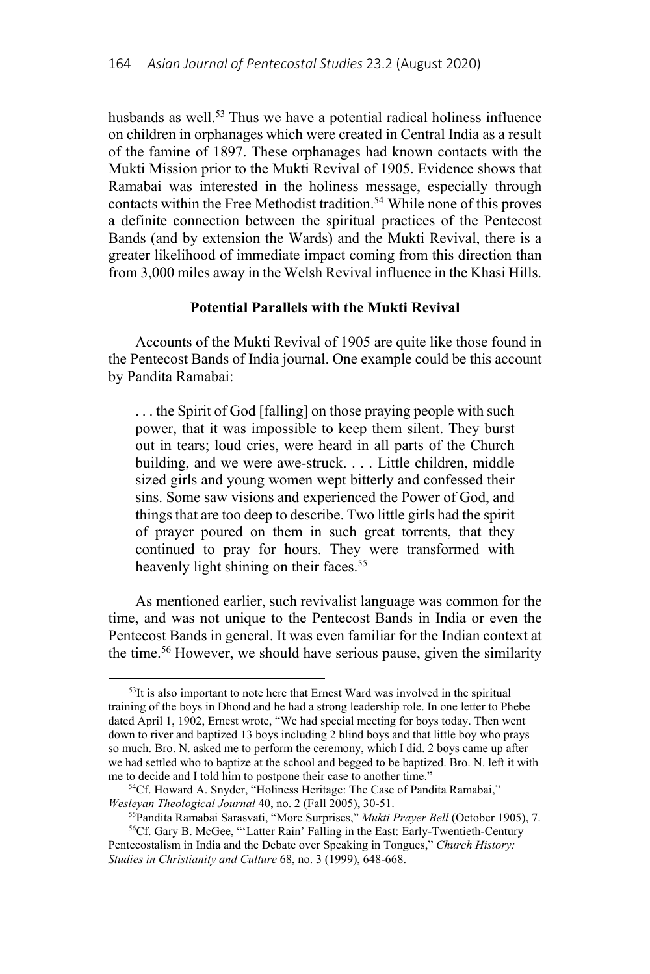husbands as well.<sup>53</sup> Thus we have a potential radical holiness influence on children in orphanages which were created in Central India as a result of the famine of 1897. These orphanages had known contacts with the Mukti Mission prior to the Mukti Revival of 1905. Evidence shows that Ramabai was interested in the holiness message, especially through contacts within the Free Methodist tradition.<sup>54</sup> While none of this proves a definite connection between the spiritual practices of the Pentecost Bands (and by extension the Wards) and the Mukti Revival, there is a greater likelihood of immediate impact coming from this direction than from 3,000 miles away in the Welsh Revival influence in the Khasi Hills.

### **Potential Parallels with the Mukti Revival**

Accounts of the Mukti Revival of 1905 are quite like those found in the Pentecost Bands of India journal. One example could be this account by Pandita Ramabai:

. . . the Spirit of God [falling] on those praying people with such power, that it was impossible to keep them silent. They burst out in tears; loud cries, were heard in all parts of the Church building, and we were awe-struck. . . . Little children, middle sized girls and young women wept bitterly and confessed their sins. Some saw visions and experienced the Power of God, and things that are too deep to describe. Two little girls had the spirit of prayer poured on them in such great torrents, that they continued to pray for hours. They were transformed with heavenly light shining on their faces.<sup>55</sup>

As mentioned earlier, such revivalist language was common for the time, and was not unique to the Pentecost Bands in India or even the Pentecost Bands in general. It was even familiar for the Indian context at the time.56 However, we should have serious pause, given the similarity

 $53$ It is also important to note here that Ernest Ward was involved in the spiritual training of the boys in Dhond and he had a strong leadership role. In one letter to Phebe dated April 1, 1902, Ernest wrote, "We had special meeting for boys today. Then went down to river and baptized 13 boys including 2 blind boys and that little boy who prays so much. Bro. N. asked me to perform the ceremony, which I did. 2 boys came up after we had settled who to baptize at the school and begged to be baptized. Bro. N. left it with

me to decide and I told him to postpone their case to another time."<br><sup>54</sup>Cf. Howard A. Snyder, "Holiness Heritage: The Case of Pandita Ramabai,"<br>Weslevan Theological Journal 40, no. 2 (Fall 2005), 30-51.

<sup>&</sup>lt;sup>55</sup>Pandita Ramabai Sarasvati, "More Surprises," *Mukti Prayer Bell* (October 1905), 7.<br><sup>56</sup>Cf. Gary B. McGee, "'Latter Rain' Falling in the East: Early-Twentieth-Century

Pentecostalism in India and the Debate over Speaking in Tongues," *Church History: Studies in Christianity and Culture* 68, no. 3 (1999), 648-668.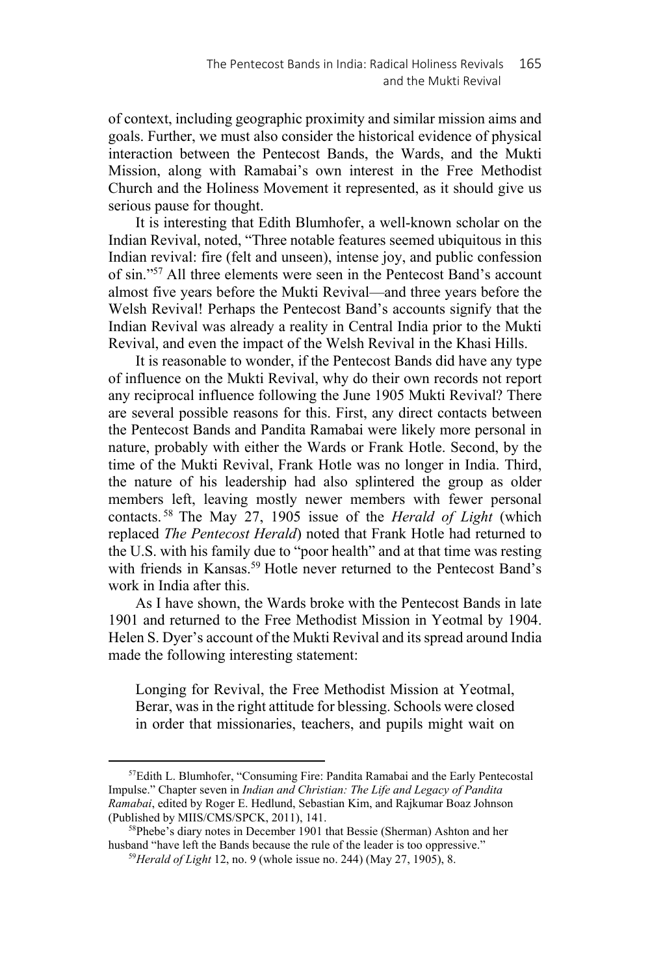of context, including geographic proximity and similar mission aims and goals. Further, we must also consider the historical evidence of physical interaction between the Pentecost Bands, the Wards, and the Mukti Mission, along with Ramabai's own interest in the Free Methodist Church and the Holiness Movement it represented, as it should give us serious pause for thought.

It is interesting that Edith Blumhofer, a well-known scholar on the Indian Revival, noted, "Three notable features seemed ubiquitous in this Indian revival: fire (felt and unseen), intense joy, and public confession of sin."57 All three elements were seen in the Pentecost Band's account almost five years before the Mukti Revival—and three years before the Welsh Revival! Perhaps the Pentecost Band's accounts signify that the Indian Revival was already a reality in Central India prior to the Mukti Revival, and even the impact of the Welsh Revival in the Khasi Hills.

It is reasonable to wonder, if the Pentecost Bands did have any type of influence on the Mukti Revival, why do their own records not report any reciprocal influence following the June 1905 Mukti Revival? There are several possible reasons for this. First, any direct contacts between the Pentecost Bands and Pandita Ramabai were likely more personal in nature, probably with either the Wards or Frank Hotle. Second, by the time of the Mukti Revival, Frank Hotle was no longer in India. Third, the nature of his leadership had also splintered the group as older members left, leaving mostly newer members with fewer personal contacts. 58 The May 27, 1905 issue of the *Herald of Light* (which replaced *The Pentecost Herald*) noted that Frank Hotle had returned to the U.S. with his family due to "poor health" and at that time was resting with friends in Kansas.<sup>59</sup> Hotle never returned to the Pentecost Band's work in India after this.

As I have shown, the Wards broke with the Pentecost Bands in late 1901 and returned to the Free Methodist Mission in Yeotmal by 1904. Helen S. Dyer's account of the Mukti Revival and its spread around India made the following interesting statement:

Longing for Revival, the Free Methodist Mission at Yeotmal, Berar, was in the right attitude for blessing. Schools were closed in order that missionaries, teachers, and pupils might wait on

<sup>57</sup>Edith L. Blumhofer, "Consuming Fire: Pandita Ramabai and the Early Pentecostal Impulse." Chapter seven in *Indian and Christian: The Life and Legacy of Pandita Ramabai*, edited by Roger E. Hedlund, Sebastian Kim, and Rajkumar Boaz Johnson (Published by MIIS/CMS/SPCK, 2011), 141. 58Phebe's diary notes in December 1901 that Bessie (Sherman) Ashton and her

husband "have left the Bands because the rule of the leader is too oppressive." 59*Herald of Light* 12, no. 9 (whole issue no. 244) (May 27, 1905), 8.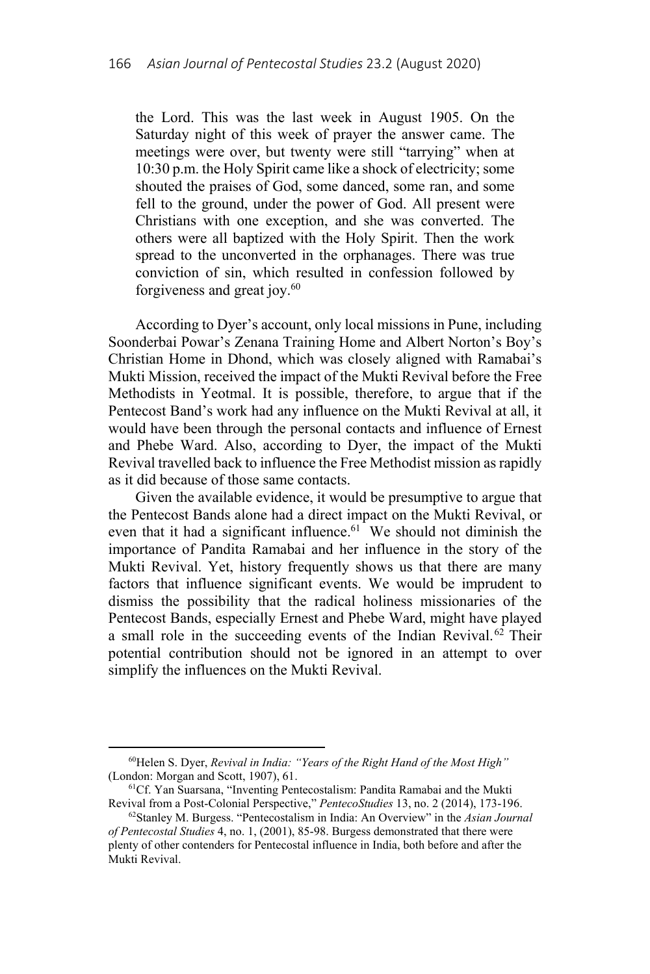the Lord. This was the last week in August 1905. On the Saturday night of this week of prayer the answer came. The meetings were over, but twenty were still "tarrying" when at 10:30 p.m. the Holy Spirit came like a shock of electricity; some shouted the praises of God, some danced, some ran, and some fell to the ground, under the power of God. All present were Christians with one exception, and she was converted. The others were all baptized with the Holy Spirit. Then the work spread to the unconverted in the orphanages. There was true conviction of sin, which resulted in confession followed by forgiveness and great joy.<sup>60</sup>

According to Dyer's account, only local missions in Pune, including Soonderbai Powar's Zenana Training Home and Albert Norton's Boy's Christian Home in Dhond, which was closely aligned with Ramabai's Mukti Mission, received the impact of the Mukti Revival before the Free Methodists in Yeotmal. It is possible, therefore, to argue that if the Pentecost Band's work had any influence on the Mukti Revival at all, it would have been through the personal contacts and influence of Ernest and Phebe Ward. Also, according to Dyer, the impact of the Mukti Revival travelled back to influence the Free Methodist mission as rapidly as it did because of those same contacts.

Given the available evidence, it would be presumptive to argue that the Pentecost Bands alone had a direct impact on the Mukti Revival, or even that it had a significant influence.<sup>61</sup> We should not diminish the importance of Pandita Ramabai and her influence in the story of the Mukti Revival. Yet, history frequently shows us that there are many factors that influence significant events. We would be imprudent to dismiss the possibility that the radical holiness missionaries of the Pentecost Bands, especially Ernest and Phebe Ward, might have played a small role in the succeeding events of the Indian Revival. $62$  Their potential contribution should not be ignored in an attempt to over simplify the influences on the Mukti Revival.

<sup>60</sup>Helen S. Dyer, *Revival in India: "Years of the Right Hand of the Most High"*

<sup>(</sup>London: Morgan and Scott, 1907), 61.<br><sup>61</sup>Cf. Yan Suarsana, "Inventing Pentecostalism: Pandita Ramabai and the Mukti<br>Revival from a Post-Colonial Perspective," *PentecoStudies* 13, no. 2 (2014), 173-196.

<sup>&</sup>lt;sup>62</sup> Stanley M. Burgess. "Pentecostalism in India: An Overview" in the *Asian Journal of Pentecostal Studies* 4, no. 1, (2001), 85-98. Burgess demonstrated that there were plenty of other contenders for Pentecostal influence in India, both before and after the Mukti Revival.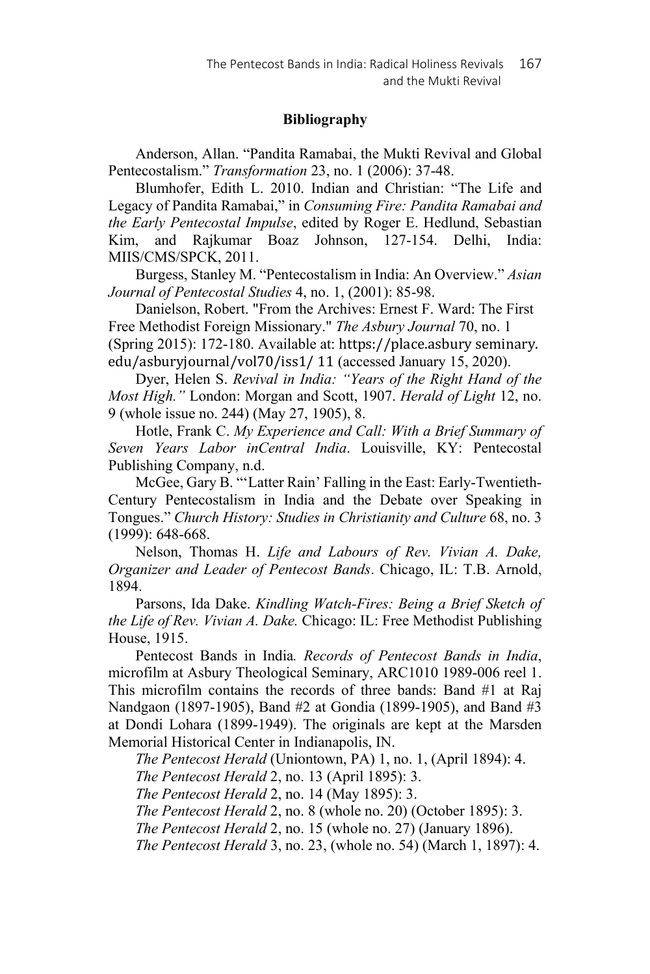# **Bibliography**

Anderson, Allan. "Pandita Ramabai, the Mukti Revival and Global Pentecostalism." *Transformation* 23, no. 1 (2006): 37-48.

Blumhofer, Edith L. 2010. Indian and Christian: "The Life and Legacy of Pandita Ramabai," in *Consuming Fire: Pandita Ramabai and the Early Pentecostal Impulse*, edited by Roger E. Hedlund, Sebastian Kim, and Rajkumar Boaz Johnson, 127-154. Delhi, India: MIIS/CMS/SPCK, 2011.

Burgess, Stanley M. "Pentecostalism in India: An Overview." *Asian Journal of Pentecostal Studies* 4, no. 1, (2001): 85-98.

Danielson, Robert. "From the Archives: Ernest F. Ward: The First Free Methodist Foreign Missionary." *The Asbury Journal* 70, no. 1 (Spring 2015): 172-180. Available at: https://place.asbury seminary. edu/asburyjournal/vol70/iss1/ 11 (accessed January 15, 2020).

Dyer, Helen S. *Revival in India: "Years of the Right Hand of the Most High."* London: Morgan and Scott, 1907. *Herald of Light* 12, no. 9 (whole issue no. 244) (May 27, 1905), 8.

Hotle, Frank C. *My Experience and Call: With a Brief Summary of Seven Years Labor inCentral India*. Louisville, KY: Pentecostal Publishing Company, n.d.

McGee, Gary B. "'Latter Rain' Falling in the East: Early-Twentieth-Century Pentecostalism in India and the Debate over Speaking in Tongues." *Church History: Studies in Christianity and Culture* 68, no. 3 (1999): 648-668.

Nelson, Thomas H. *Life and Labours of Rev. Vivian A. Dake, Organizer and Leader of Pentecost Bands*. Chicago, IL: T.B. Arnold, 1894.

Parsons, Ida Dake. *Kindling Watch-Fires: Being a Brief Sketch of the Life of Rev. Vivian A. Dake.* Chicago: IL: Free Methodist Publishing House, 1915.

Pentecost Bands in India*. Records of Pentecost Bands in India*, microfilm at Asbury Theological Seminary, ARC1010 1989-006 reel 1. This microfilm contains the records of three bands: Band #1 at Raj Nandgaon (1897-1905), Band #2 at Gondia (1899-1905), and Band #3 at Dondi Lohara (1899-1949). The originals are kept at the Marsden Memorial Historical Center in Indianapolis, IN.

*The Pentecost Herald* (Uniontown, PA) 1, no. 1, (April 1894): 4.

*The Pentecost Herald* 2, no. 13 (April 1895): 3.

*The Pentecost Herald* 2, no. 14 (May 1895): 3.

*The Pentecost Herald* 2, no. 8 (whole no. 20) (October 1895): 3.

*The Pentecost Herald* 2, no. 15 (whole no. 27) (January 1896).

*The Pentecost Herald* 3, no. 23, (whole no. 54) (March 1, 1897): 4.